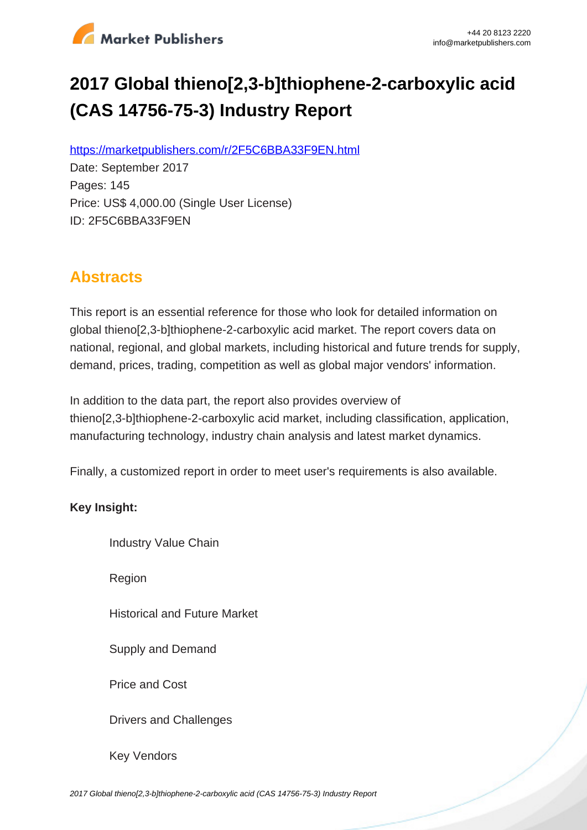

# **2017 Global thieno[2,3-b]thiophene-2-carboxylic acid (CAS 14756-75-3) Industry Report**

https://marketpublishers.com/r/2F5C6BBA33F9EN.html

Date: September 2017 Pages: 145 Price: US\$ 4,000.00 (Single User License) ID: 2F5C6BBA33F9EN

## **Abstracts**

This report is an essential reference for those who look for detailed information on global thieno[2,3-b]thiophene-2-carboxylic acid market. The report covers data on national, regional, and global markets, including historical and future trends for supply, demand, prices, trading, competition as well as global major vendors' information.

In addition to the data part, the report also provides overview of thieno[2,3-b]thiophene-2-carboxylic acid market, including classification, application, manufacturing technology, industry chain analysis and latest market dynamics.

Finally, a customized report in order to meet user's requirements is also available.

#### **Key Insight:**

Industry Value Chain

Region

Historical and Future Market

Supply and Demand

Price and Cost

Drivers and Challenges

Key Vendors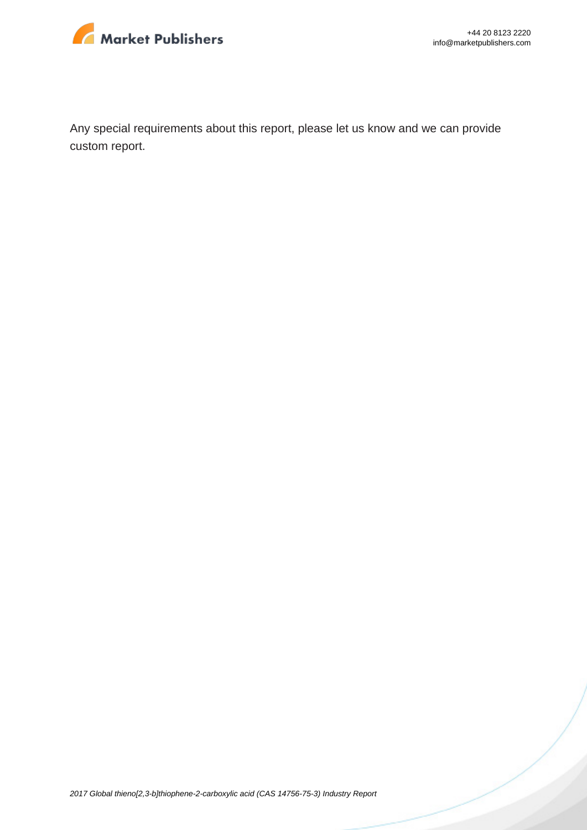

Any special requirements about this report, please let us know and we can provide custom report.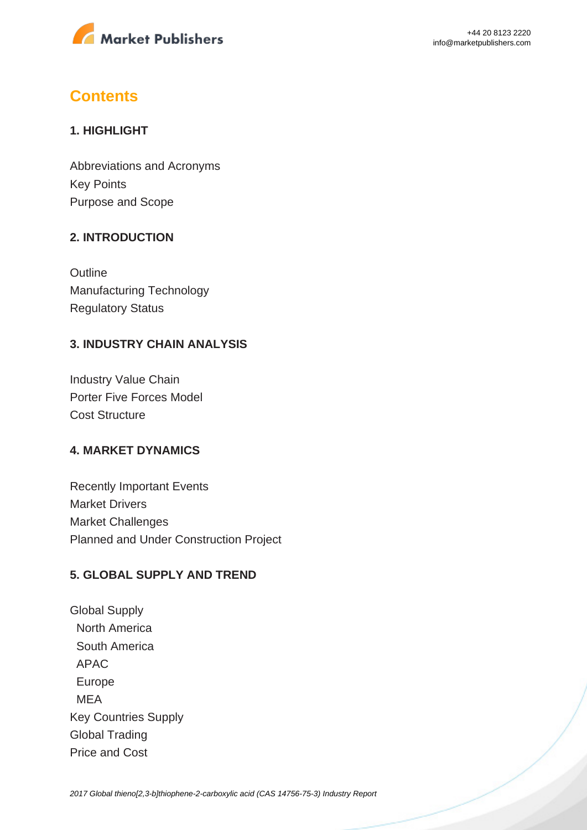

## **Contents**

#### **1. HIGHLIGHT**

Abbreviations and Acronyms Key Points Purpose and Scope

#### **2. INTRODUCTION**

**Outline** Manufacturing Technology Regulatory Status

#### **3. INDUSTRY CHAIN ANALYSIS**

Industry Value Chain Porter Five Forces Model Cost Structure

#### **4. MARKET DYNAMICS**

Recently Important Events Market Drivers Market Challenges Planned and Under Construction Project

#### **5. GLOBAL SUPPLY AND TREND**

Global Supply North America South America APAC Europe MEA Key Countries Supply Global Trading Price and Cost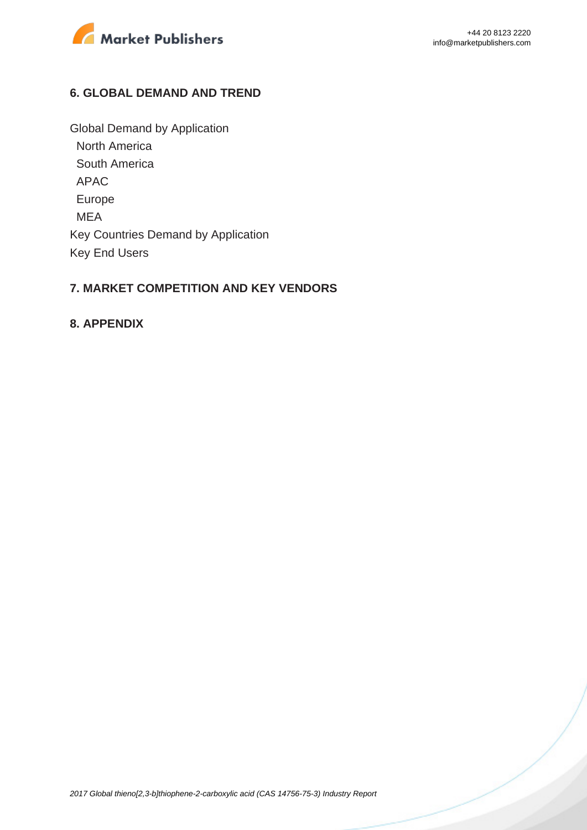

#### **6. GLOBAL DEMAND AND TREND**

Global Demand by Application North America South America APAC Europe MEA Key Countries Demand by Application Key End Users

#### **7. MARKET COMPETITION AND KEY VENDORS**

#### **8. APPENDIX**